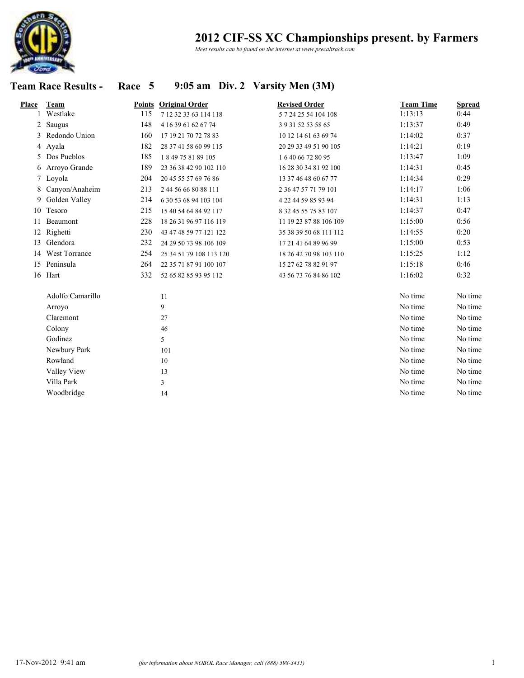

*Meet results can be found on the internet at www.precaltrack.com*

### **Team Race Results - Race 5 9:05 am Div. 2 Varsity Men (3M)**

| <b>Place</b> | Team             |     | <b>Points Original Order</b> | <b>Revised Order</b>   | <b>Team Time</b> | <b>Spread</b> |
|--------------|------------------|-----|------------------------------|------------------------|------------------|---------------|
|              | Westlake         | 115 | 7 12 32 33 63 114 118        | 5 7 24 25 54 104 108   | 1:13:13          | 0:44          |
| 2            | Saugus           | 148 | 4 16 39 61 62 67 74          | 3 9 31 52 53 58 65     | 1:13:37          | 0:49          |
| 3            | Redondo Union    | 160 | 17 19 21 70 72 78 83         | 10 12 14 61 63 69 74   | 1:14:02          | 0:37          |
|              | 4 Ayala          | 182 | 28 37 41 58 60 99 115        | 20 29 33 49 51 90 105  | 1:14:21          | 0:19          |
| 5.           | Dos Pueblos      | 185 | 1849758189105                | 164066728095           | 1:13:47          | 1:09          |
|              | 6 Arroyo Grande  | 189 | 23 36 38 42 90 102 110       | 16 28 30 34 81 92 100  | 1:14:31          | 0:45          |
|              | 7 Loyola         | 204 | 20 45 55 57 69 76 86         | 13 37 46 48 60 67 77   | 1:14:34          | 0:29          |
| 8            | Canyon/Anaheim   | 213 | 2 44 56 66 80 88 111         | 2 36 47 57 71 79 101   | 1:14:17          | 1:06          |
| 9            | Golden Valley    | 214 | 6 30 53 68 94 103 104        | 4 22 44 59 85 93 94    | 1:14:31          | 1:13          |
| 10           | Tesoro           | 215 | 15 40 54 64 84 92 117        | 8 32 45 55 75 83 107   | 1:14:37          | 0:47          |
| 11           | Beaumont         | 228 | 18 26 31 96 97 116 119       | 11 19 23 87 88 106 109 | 1:15:00          | 0:56          |
|              | 12 Righetti      | 230 | 43 47 48 59 77 121 122       | 35 38 39 50 68 111 112 | 1:14:55          | 0:20          |
|              | 13 Glendora      | 232 | 24 29 50 73 98 106 109       | 17 21 41 64 89 96 99   | 1:15:00          | 0:53          |
|              | 14 West Torrance | 254 | 25 34 51 79 108 113 120      | 18 26 42 70 98 103 110 | 1:15:25          | 1:12          |
|              | 15 Peninsula     | 264 | 22 35 71 87 91 100 107       | 15 27 62 78 82 91 97   | 1:15:18          | 0:46          |
|              | 16 Hart          | 332 | 52 65 82 85 93 95 112        | 43 56 73 76 84 86 102  | 1:16:02          | 0:32          |
|              | Adolfo Camarillo |     | 11                           |                        | No time          | No time       |
|              | Arroyo           |     | 9                            |                        | No time          | No time       |
|              | Claremont        |     | 27                           |                        | No time          | No time       |
|              | Colony           |     | 46                           |                        | No time          | No time       |
|              | Godinez          |     | 5                            |                        | No time          | No time       |
|              | Newbury Park     |     | 101                          |                        | No time          | No time       |
|              | Rowland          |     | 10                           |                        | No time          | No time       |
|              | Valley View      |     | 13                           |                        | No time          | No time       |
|              | Villa Park       |     | 3                            |                        | No time          | No time       |
|              | Woodbridge       |     | 14                           |                        | No time          | No time       |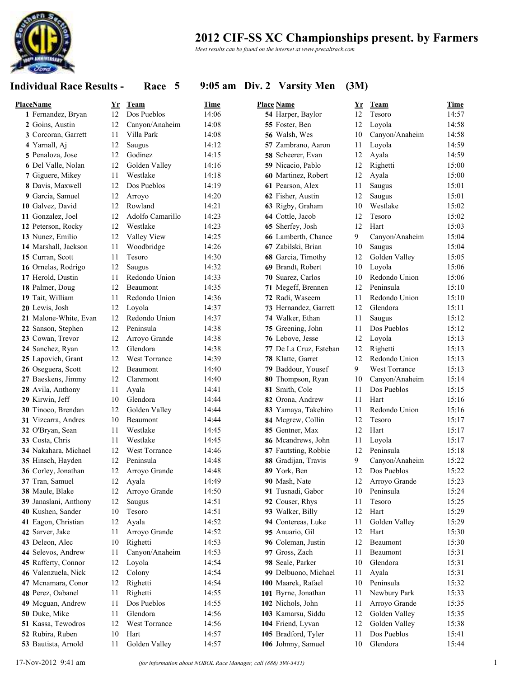

*Meet results can be found on the internet at www.precaltrack.com*

### **Individual Race Results - Race 5 9:05 am Div. 2 Varsity Men (3M)**

| PlaceName             | Yr | Team             | Time  | <b>Place Name</b>      | Yr | Team           | Time  |
|-----------------------|----|------------------|-------|------------------------|----|----------------|-------|
| 1 Fernandez, Bryan    | 12 | Dos Pueblos      | 14:06 | 54 Harper, Baylor      | 12 | Tesoro         | 14:57 |
| 2 Goins, Austin       | 12 | Canyon/Anaheim   | 14:08 | 55 Foster, Ben         | 12 | Loyola         | 14:58 |
| 3 Corcoran, Garrett   | 11 | Villa Park       | 14:08 | 56 Walsh, Wes          | 10 | Canyon/Anaheim | 14:58 |
| 4 Yarnall, Aj         | 12 | Saugus           | 14:12 | 57 Zambrano, Aaron     | 11 | Loyola         | 14:59 |
| 5 Penaloza, Jose      | 12 | Godinez          | 14:15 | 58 Scheerer, Evan      | 12 | Ayala          | 14:59 |
| 6 Del Valle, Nolan    | 12 | Golden Valley    | 14:16 | 59 Nicacio, Pablo      | 12 | Righetti       | 15:00 |
| 7 Giguere, Mikey      | 11 | Westlake         | 14:18 | 60 Martinez, Robert    | 12 | Ayala          | 15:00 |
| 8 Davis, Maxwell      | 12 | Dos Pueblos      | 14:19 | 61 Pearson, Alex       | 11 | Saugus         | 15:01 |
| 9 Garcia, Samuel      | 12 | Arroyo           | 14:20 | 62 Fisher, Austin      | 12 | Saugus         | 15:01 |
| 10 Galvez, David      | 12 | Rowland          | 14:21 | 63 Rigby, Graham       | 10 | Westlake       | 15:02 |
| 11 Gonzalez, Joel     | 12 | Adolfo Camarillo | 14:23 | 64 Cottle, Jacob       | 12 | Tesoro         | 15:02 |
| 12 Peterson, Rocky    | 12 | Westlake         | 14:23 | 65 Sherfey, Josh       | 12 | Hart           | 15:03 |
| 13 Nunez, Emilio      | 12 | Valley View      | 14:25 | 66 Lamberth, Chance    | 9  | Canyon/Anaheim | 15:04 |
| 14 Marshall, Jackson  | 11 | Woodbridge       | 14:26 | 67 Zabilski, Brian     | 10 | Saugus         | 15:04 |
| 15 Curran, Scott      | 11 | Tesoro           | 14:30 | 68 Garcia, Timothy     | 12 | Golden Valley  | 15:05 |
| 16 Ornelas, Rodrigo   | 12 | Saugus           | 14:32 | 69 Brandt, Robert      | 10 | Loyola         | 15:06 |
| 17 Herold, Dustin     | 11 | Redondo Union    | 14:33 | 70 Suarez, Carlos      | 10 | Redondo Union  | 15:06 |
| 18 Palmer, Doug       | 12 | Beaumont         | 14:35 | 71 Megeff, Brennen     | 12 | Peninsula      | 15:10 |
| 19 Tait, William      | 11 | Redondo Union    | 14:36 | 72 Radi, Waseem        | 11 | Redondo Union  | 15:10 |
| 20 Lewis, Josh        | 12 | Loyola           | 14:37 | 73 Hernandez, Garrett  | 12 | Glendora       | 15:11 |
| 21 Malone-White, Evan | 12 | Redondo Union    | 14:37 | 74 Walker, Ethan       | 11 | Saugus         | 15:12 |
| 22 Sanson, Stephen    | 12 | Peninsula        | 14:38 | 75 Greening, John      | 11 | Dos Pueblos    | 15:12 |
| 23 Cowan, Trevor      | 12 | Arroyo Grande    | 14:38 | 76 Lebove, Jesse       | 12 | Loyola         | 15:13 |
| 24 Sanchez, Ryan      | 12 | Glendora         | 14:38 | 77 De La Cruz, Esteban | 12 | Righetti       | 15:13 |
| 25 Lapovich, Grant    | 12 | West Torrance    | 14:39 | 78 Klatte, Garret      | 12 | Redondo Union  | 15:13 |
| 26 Oseguera, Scott    | 12 | Beaumont         | 14:40 | 79 Baddour, Yousef     | 9  | West Torrance  | 15:13 |
| 27 Baeskens, Jimmy    | 12 | Claremont        | 14:40 | 80 Thompson, Ryan      | 10 | Canyon/Anaheim | 15:14 |
| 28 Avila, Anthony     | 11 | Ayala            | 14:41 | 81 Smith, Cole         | 11 | Dos Pueblos    | 15:15 |
| 29 Kirwin, Jeff       | 10 | Glendora         | 14:44 | 82 Orona, Andrew       | 11 | Hart           | 15:16 |
| 30 Tinoco, Brendan    | 12 | Golden Valley    | 14:44 | 83 Yamaya, Takehiro    | 11 | Redondo Union  | 15:16 |
| 31 Vizcarra, Andres   | 10 | Beaumont         | 14:44 | 84 Mcgrew, Collin      | 12 | Tesoro         | 15:17 |
| 32 O'Bryan, Sean      | 11 | Westlake         | 14:45 | 85 Gentner, Max        | 12 | Hart           | 15:17 |
| 33 Costa, Chris       | 11 | Westlake         | 14:45 | 86 Mcandrews, John     | 11 | Loyola         | 15:17 |
| 34 Nakahara, Michael  | 12 | West Torrance    | 14:46 | 87 Fautsting, Robbie   | 12 | Peninsula      | 15:18 |
| 35 Hinsch, Hayden     | 12 | Peninsula        | 14:48 | 88 Gradijan, Travis    | 9  | Canyon/Anaheim | 15:22 |
| 36 Corley, Jonathan   | 12 | Arroyo Grande    | 14:48 | 89 York, Ben           | 12 | Dos Pueblos    | 15:22 |
| 37 Tran, Samuel       | 12 | Ayala            | 14:49 | 90 Mash, Nate          | 12 | Arroyo Grande  | 15:23 |
| 38 Maule, Blake       | 12 | Arroyo Grande    | 14:50 | 91 Tusnadi, Gabor      | 10 | Peninsula      | 15:24 |
| 39 Janaslani, Anthony | 12 | Saugus           | 14:51 | 92 Couser, Rhys        | 11 | Tesoro         | 15:25 |
| 40 Kushen, Sander     | 10 | Tesoro           | 14:51 | 93 Walker, Billy       | 12 | Hart           | 15:29 |
| 41 Eagon, Christian   | 12 | Ayala            | 14:52 | 94 Contereas, Luke     | 11 | Golden Valley  | 15:29 |
| 42 Sarver, Jake       | 11 | Arroyo Grande    | 14:52 | 95 Anuario, Gil        | 12 | Hart           | 15:30 |
| 43 Deleon, Alec       | 10 | Righetti         | 14:53 | 96 Coleman, Justin     | 12 | Beaumont       | 15:30 |
| 44 Selevos, Andrew    | 11 | Canyon/Anaheim   | 14:53 | 97 Gross, Zach         | 11 | Beaumont       | 15:31 |
| 45 Rafferty, Connor   | 12 | Loyola           | 14:54 | 98 Seale, Parker       | 10 | Glendora       | 15:31 |
| 46 Valenzuela, Nick   | 12 | Colony           | 14:54 | 99 Delbuono, Michael   | 11 | Ayala          | 15:31 |
| 47 Mcnamara, Conor    | 12 | Righetti         | 14:54 | 100 Maarek, Rafael     | 10 | Peninsula      | 15:32 |
| 48 Perez, Oabanel     | 11 | Righetti         | 14:55 | 101 Byrne, Jonathan    | 11 | Newbury Park   | 15:33 |
| 49 Mcguan, Andrew     | 11 | Dos Pueblos      | 14:55 | 102 Nichols, John      | 11 | Arroyo Grande  | 15:35 |
| 50 Duke, Mike         | 11 | Glendora         | 14:56 | 103 Kamarsu, Siddu     | 12 | Golden Valley  | 15:35 |
| 51 Kassa, Tewodros    | 12 | West Torrance    | 14:56 | 104 Friend, Lyvan      | 12 | Golden Valley  | 15:38 |
| 52 Rubira, Ruben      | 10 | Hart             | 14:57 | 105 Bradford, Tyler    | 11 | Dos Pueblos    | 15:41 |
| 53 Bautista, Arnold   | 11 | Golden Valley    | 14:57 | 106 Johnny, Samuel     | 10 | Glendora       | 15:44 |
|                       |    |                  |       |                        |    |                |       |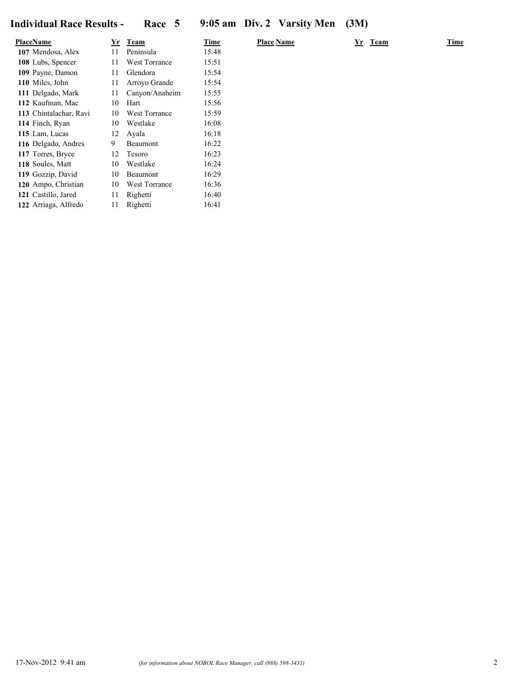| <u>PlaceName</u>       | Yr | Team           | Time  | <b>Place Name</b> | Yr Team | Time |
|------------------------|----|----------------|-------|-------------------|---------|------|
| 107 Mendosa, Alex      | 11 | Peninsula      | 15:48 |                   |         |      |
| 108 Lubs, Spencer      | 11 | West Torrance  | 15:51 |                   |         |      |
| 109 Payne, Damon       | 11 | Glendora       | 15:54 |                   |         |      |
| 110 Miles, John        | 11 | Arroyo Grande  | 15:54 |                   |         |      |
| 111 Delgado, Mark      | 11 | Canyon/Anaheim | 15:55 |                   |         |      |
| 112 Kaufman, Mac       | 10 | Hart           | 15:56 |                   |         |      |
| 113 Chintalachar, Ravi | 10 | West Torrance  | 15:59 |                   |         |      |
| 114 Finch, Ryan        | 10 | Westlake       | 16:08 |                   |         |      |
| 115 Lam, Lucas         | 12 | Avala          | 16:18 |                   |         |      |
| 116 Delgado, Andres    | 9  | Beaumont       | 16:22 |                   |         |      |
| 117 Torres, Bryce      | 12 | Tesoro         | 16:23 |                   |         |      |
| 118 Soules, Matt       | 10 | Westlake       | 16:24 |                   |         |      |
| 119 Gozzip, David      | 10 | Beaumont       | 16:29 |                   |         |      |
| 120 Ampo, Christian    | 10 | West Torrance  | 16:36 |                   |         |      |
| 121 Castillo, Jared    | 11 | Righetti       | 16:40 |                   |         |      |
| 122 Arriaga, Alfredo   | 11 | Righetti       | 16:41 |                   |         |      |
|                        |    |                |       |                   |         |      |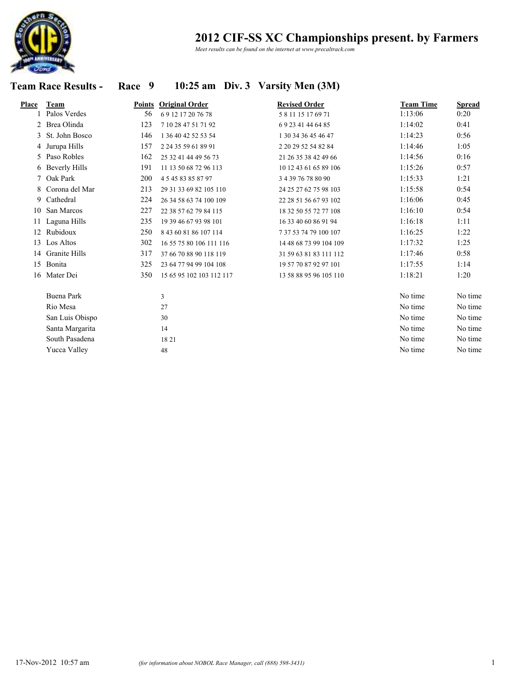

*Meet results can be found on the internet at www.precaltrack.com*

## **Team Race Results - Race 9 10:25 am Div. 3 Varsity Men (3M)**

| Place | <b>Team</b>       | Points | <b>Original Order</b>    | <b>Revised Order</b>   | <b>Team Time</b> | <b>Spread</b> |
|-------|-------------------|--------|--------------------------|------------------------|------------------|---------------|
|       | Palos Verdes      | 56     | 69 12 17 20 76 78        | 581115176971           | 1:13:06          | 0:20          |
|       | 2 Brea Olinda     | 123    | 7 10 28 47 51 71 92      | 692341446485           | 1:14:02          | 0:41          |
|       | 3 St. John Bosco  | 146    | 1 36 40 42 52 53 54      | 1 30 34 36 45 46 47    | 1:14:23          | 0:56          |
|       | 4 Jurupa Hills    | 157    | 2 24 35 59 61 89 91      | 2 20 29 52 54 82 84    | 1:14:46          | 1:05          |
|       | 5 Paso Robles     | 162    | 25 32 41 44 49 56 73     | 21 26 35 38 42 49 66   | 1:14:56          | 0:16          |
|       | 6 Beverly Hills   | 191    | 11 13 50 68 72 96 113    | 10 12 43 61 65 89 106  | 1:15:26          | 0:57          |
|       | 7 Oak Park        | 200    | 4 5 45 83 85 87 97       | 3 4 39 76 78 80 90     | 1:15:33          | 1:21          |
| 8     | Corona del Mar    | 213    | 29 31 33 69 82 105 110   | 24 25 27 62 75 98 103  | 1:15:58          | 0:54          |
| 9     | Cathedral         | 224    | 26 34 58 63 74 100 109   | 22 28 51 56 67 93 102  | 1:16:06          | 0:45          |
| 10    | San Marcos        | 227    | 22 38 57 62 79 84 115    | 18 32 50 55 72 77 108  | 1:16:10          | 0:54          |
|       | 11 Laguna Hills   | 235    | 19 39 46 67 93 98 101    | 16 33 40 60 86 91 94   | 1:16:18          | 1:11          |
|       | 12 Rubidoux       | 250    | 8 43 60 81 86 107 114    | 7 37 53 74 79 100 107  | 1:16:25          | 1:22          |
| 13    | Los Altos         | 302    | 16 55 75 80 106 111 116  | 14 48 68 73 99 104 109 | 1:17:32          | 1:25          |
|       | 14 Granite Hills  | 317    | 37 66 70 88 90 118 119   | 31 59 63 81 83 111 112 | 1:17:46          | 0:58          |
|       | 15 Bonita         | 325    | 23 64 77 94 99 104 108   | 19 57 70 87 92 97 101  | 1:17:55          | 1:14          |
|       | 16 Mater Dei      | 350    | 15 65 95 102 103 112 117 | 13 58 88 95 96 105 110 | 1:18:21          | 1:20          |
|       | <b>Buena Park</b> |        | 3                        |                        | No time          | No time       |
|       | Rio Mesa          |        | 27                       |                        | No time          | No time       |
|       | San Luis Obispo   |        | 30                       |                        | No time          | No time       |
|       | Santa Margarita   |        | 14                       |                        | No time          | No time       |
|       | South Pasadena    |        | 1821                     |                        | No time          | No time       |
|       | Yucca Valley      |        | 48                       |                        | No time          | No time       |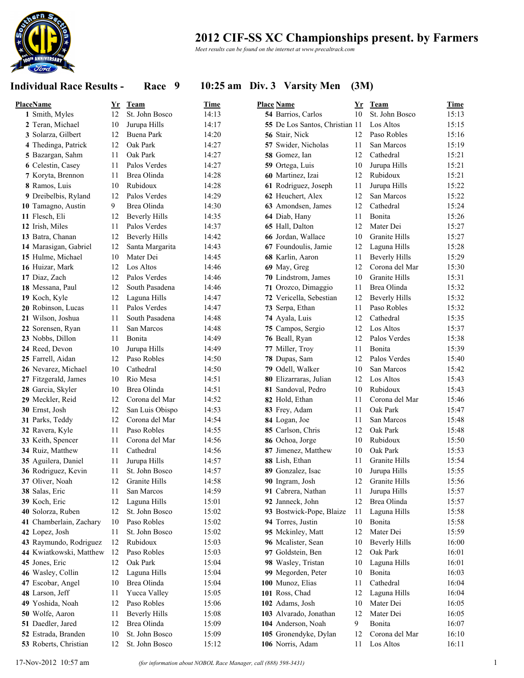

*Meet results can be found on the internet at www.precaltrack.com*

### **Individual Race Results - Race 9 10:25 am Div. 3 Varsity Men (3M)**

| <b>PlaceName</b>        | <u>Yr</u> | <b>Team</b>                       | Time  | <b>Place Name</b>              | Yr       | <b>Team</b>          | <b>Time</b> |
|-------------------------|-----------|-----------------------------------|-------|--------------------------------|----------|----------------------|-------------|
| 1 Smith, Myles          | 12        | St. John Bosco                    | 14:13 | 54 Barrios, Carlos             | 10       | St. John Bosco       | 15:13       |
| 2 Teran, Michael        | 10        | Jurupa Hills                      | 14:17 | 55 De Los Santos, Christian 11 |          | Los Altos            | 15:15       |
| 3 Solarza, Gilbert      | 12        | Buena Park                        | 14:20 | 56 Stair, Nick                 | 12       | Paso Robles          | 15:16       |
| 4 Thedinga, Patrick     | 12        | Oak Park                          | 14:27 | 57 Swider, Nicholas            | 11       | San Marcos           | 15:19       |
| 5 Bazargan, Sahm        | 11        | Oak Park                          | 14:27 | 58 Gomez, Ian                  | 12       | Cathedral            | 15:21       |
| 6 Celestin, Casey       | 11        | Palos Verdes                      | 14:27 | 59 Ortega, Luis                | 10       | Jurupa Hills         | 15:21       |
| 7 Koryta, Brennon       | 11        | Brea Olinda                       | 14:28 | 60 Martinez, Izai              | 12       | Rubidoux             | 15:21       |
| 8 Ramos, Luis           | 10        | Rubidoux                          | 14:28 | 61 Rodriguez, Joseph           | 11       | Jurupa Hills         | 15:22       |
| 9 Dreibelbis, Ryland    | 12        | Palos Verdes                      | 14:29 | 62 Heuchert, Alex              | 12       | San Marcos           | 15:22       |
| 10 Tamagno, Austin      | 9         | Brea Olinda                       | 14:30 | 63 Amondsen, James             | 12       | Cathedral            | 15:24       |
| 11 Flesch, Eli          | 12        | <b>Beverly Hills</b>              | 14:35 | 64 Diab, Hany                  | 11       | Bonita               | 15:26       |
| 12 Irish, Miles         | 11        | Palos Verdes                      | 14:37 | 65 Hall, Dalton                | 12       | Mater Dei            | 15:27       |
| 13 Batra, Chanan        | 12        | <b>Beverly Hills</b>              | 14:42 | 66 Jordan, Wallace             | 10       | Granite Hills        | 15:27       |
| 14 Marasigan, Gabriel   | 12        | Santa Margarita                   | 14:43 | 67 Foundoulis, Jamie           | 12       | Laguna Hills         | 15:28       |
| 15 Hulme, Michael       | 10        | Mater Dei                         | 14:45 | 68 Karlin, Aaron               | 11       | <b>Beverly Hills</b> | 15:29       |
| 16 Huizar, Mark         | 12        | Los Altos                         | 14:46 | 69 May, Greg                   | 12       | Corona del Mar       | 15:30       |
| 17 Diaz, Zach           | 12        | Palos Verdes                      | 14:46 | 70 Lindstrom, James            | 10       | Granite Hills        | 15:31       |
| 18 Messana, Paul        | 12        | South Pasadena                    | 14:46 | 71 Orozco, Dimaggio            | 11       | Brea Olinda          | 15:32       |
| 19 Koch, Kyle           | 12        | Laguna Hills                      | 14:47 | 72 Vericella, Sebestian        | 12       | <b>Beverly Hills</b> | 15:32       |
| 20 Robinson, Lucas      | 11        | Palos Verdes                      | 14:47 | 73 Serpa, Ethan                | 11       | Paso Robles          | 15:32       |
| 21 Wilson, Joshua       | 11        | South Pasadena                    | 14:48 | 74 Ayala, Luis                 | 12       | Cathedral            | 15:35       |
| 22 Sorensen, Ryan       | 11        | San Marcos                        | 14:48 | 75 Campos, Sergio              | 12       | Los Altos            | 15:37       |
| 23 Nobbs, Dillon        | 11        | Bonita                            | 14:49 | 76 Beall, Ryan                 | 12       | Palos Verdes         | 15:38       |
| 24 Reed, Devon          | 10        | Jurupa Hills                      | 14:49 | 77 Miller, Troy                | 11       | Bonita               | 15:39       |
| 25 Farrell, Aidan       | 12        | Paso Robles                       | 14:50 | 78 Dupas, Sam                  | 12       | Palos Verdes         | 15:40       |
| 26 Nevarez, Michael     | 10        | Cathedral                         | 14:50 | 79 Odell, Walker               | 10       | San Marcos           | 15:42       |
| 27 Fitzgerald, James    | 10        | Rio Mesa                          | 14:51 | 80 Elizarraras, Julian         | 12       | Los Altos            | 15:43       |
| 28 Garcia, Skyler       | 10        | Brea Olinda                       | 14:51 | 81 Sandoval, Pedro             | 10       | Rubidoux             | 15:43       |
| 29 Meckler, Reid        | 12        | Corona del Mar                    | 14:52 | 82 Hold, Ethan                 | 11       | Corona del Mar       | 15:46       |
|                         | 12        |                                   | 14:53 |                                |          | Oak Park             | 15:47       |
| 30 Ernst, Josh          | 12        | San Luis Obispo<br>Corona del Mar | 14:54 | 83 Frey, Adam<br>84 Logan, Joe | 11<br>11 | San Marcos           | 15:48       |
| 31 Parks, Teddy         | 11        | Paso Robles                       | 14:55 |                                | 12       | Oak Park             |             |
| 32 Ravera, Kyle         |           |                                   |       | 85 Carlson, Chris              |          |                      | 15:48       |
| 33 Keith, Spencer       | 11        | Corona del Mar                    | 14:56 | 86 Ochoa, Jorge                | 10       | Rubidoux             | 15:50       |
| 34 Ruiz, Matthew        | 11        | Cathedral                         | 14:56 | 87 Jimenez, Matthew            | 10       | Oak Park             | 15:53       |
| 35 Aguilera, Daniel     | 11        | Jurupa Hills                      | 14:57 | 88 Lish, Ethan                 | 11       | Granite Hills        | 15:54       |
| 36 Rodriguez, Kevin     | 11        | St. John Bosco                    | 14:57 | 89 Gonzalez, Isac              | 10       | Jurupa Hills         | 15:55       |
| 37 Oliver, Noah         | 12        | Granite Hills                     | 14:58 | 90 Ingram, Josh                | 12       | Granite Hills        | 15:56       |
| 38 Salas, Eric          | 11        | San Marcos                        | 14:59 | 91 Cabrera, Nathan             | 11       | Jurupa Hills         | 15:57       |
| 39 Koch, Eric           | 12        | Laguna Hills                      | 15:01 | 92 Janneck, John               | 12       | Brea Olinda          | 15:57       |
| 40 Solorza, Ruben       | 12        | St. John Bosco                    | 15:02 | 93 Bostwick-Pope, Blaize       | 11       | Laguna Hills         | 15:58       |
| 41 Chamberlain, Zachary | 10        | Paso Robles                       | 15:02 | 94 Torres, Justin              | 10       | Bonita               | 15:58       |
| 42 Lopez, Josh          | 11        | St. John Bosco                    | 15:02 | 95 Mckinley, Matt              | 12       | Mater Dei            | 15:59       |
| 43 Raymundo, Rodriguez  | 12        | Rubidoux                          | 15:03 | 96 Mcalister, Sean             | 10       | <b>Beverly Hills</b> | 16:00       |
| 44 Kwiatkowski, Matthew | 12        | Paso Robles                       | 15:03 | 97 Goldstein, Ben              | 12       | Oak Park             | 16:01       |
| 45 Jones, Eric          | 12        | Oak Park                          | 15:04 | 98 Wasley, Tristan             | 10       | Laguna Hills         | 16:01       |
| 46 Wasley, Collin       | 12        | Laguna Hills                      | 15:04 | 99 Megorden, Peter             | 10       | Bonita               | 16:03       |
| 47 Escobar, Angel       | 10        | Brea Olinda                       | 15:04 | 100 Munoz, Elias               | 11       | Cathedral            | 16:04       |
| 48 Larson, Jeff         | 11        | Yucca Valley                      | 15:05 | 101 Ross, Chad                 | 12       | Laguna Hills         | 16:04       |
| 49 Yoshida, Noah        | 12        | Paso Robles                       | 15:06 | 102 Adams, Josh                | 10       | Mater Dei            | 16:05       |
| 50 Wolfe, Aaron         | 11        | <b>Beverly Hills</b>              | 15:08 | 103 Alvarado, Jonathan         | 12       | Mater Dei            | 16:05       |
| 51 Daedler, Jared       | 12        | Brea Olinda                       | 15:09 | 104 Anderson, Noah             | 9        | Bonita               | 16:07       |
| 52 Estrada, Branden     | 10        | St. John Bosco                    | 15:09 | 105 Gronendyke, Dylan          | 12       | Corona del Mar       | 16:10       |
| 53 Roberts, Christian   | 12        | St. John Bosco                    | 15:12 | 106 Norris, Adam               | 11       | Los Altos            | 16:11       |